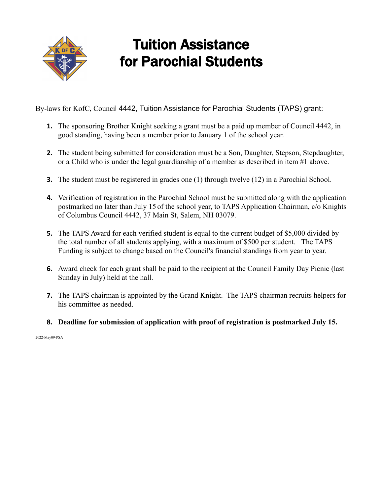

## Tuition Assistance for Parochial Students

By-laws for KofC, Council 4442, Tuition Assistance for Parochial Students (TAPS) grant:

- **1.** The sponsoring Brother Knight seeking a grant must be a paid up member of Council 4442, in good standing, having been a member prior to January 1 of the school year.
- **2.** The student being submitted for consideration must be a Son, Daughter, Stepson, Stepdaughter, or a Child who is under the legal guardianship of a member as described in item #1 above.
- **3.** The student must be registered in grades one (1) through twelve (12) in a Parochial School.
- **4.** Verification of registration in the Parochial School must be submitted along with the application postmarked no later than July 15 of the school year, to TAPS Application Chairman, c/o Knights of Columbus Council 4442, 37 Main St, Salem, NH 03079.
- **5.** The TAPS Award for each verified student is equal to the current budget of \$5,000 divided by the total number of all students applying, with a maximum of \$500 per student. The TAPS Funding is subject to change based on the Council's financial standings from year to year.
- **6.** Award check for each grant shall be paid to the recipient at the Council Family Day Picnic (last Sunday in July) held at the hall.
- **7.** The TAPS chairman is appointed by the Grand Knight. The TAPS chairman recruits helpers for his committee as needed.
- **8. Deadline for submission of application with proof of registration is postmarked July 15.**

2022-May09-PSA